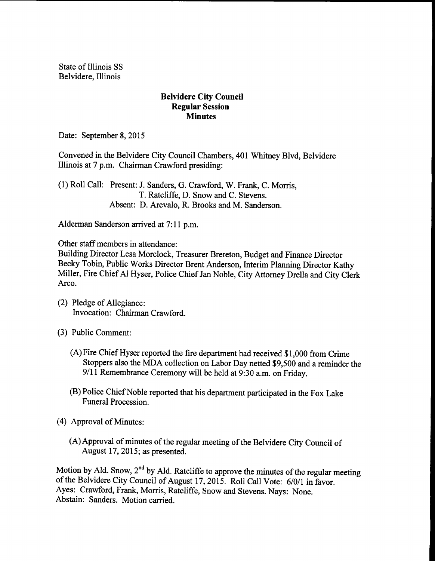State of Illinois SS Belvidere, Illinois

## Belvidere City Council Regular Session **Minutes**

Date: September 8, 2015

Convened in the Belvidere City Council Chambers, 401 Whitney Blvd, Belvidere Illinois at 7 p.m. Chairman Crawford presiding:

1) Roll Call: Present: J. Sanders, G. Crawford, W. Frank, C. Morris, T. Ratcliffe, D. Snow and C. Stevens. Absent: D. Arevalo, R. Brooks and M. Sanderson.

Alderman Sanderson arrived at 7: 11 p.m.

Other staff members in attendance:

Building Director Lesa Morelock, Treasurer Brereton, Budget and Finance Director Becky Tobin, Public Works Director Brent Anderson, Interim Planning Director Kathy Miller, Fire Chief Al Hyser, Police Chief Jan Noble, City Attorney Drella and City Clerk Arco.

- 2) Pledge of Allegiance: Invocation: Chairman Crawford.
- 3) Public Comment:
	- A)Fire Chief Hyser reported the fire department had received \$ 1, <sup>000</sup> from Crime Stoppers also the MDA collection on Labor Day netted \$9,500 and a reminder the 9/11 Remembrance Ceremony will be held at 9:30 a.m. on Friday.
	- B) Police Chief Noble reported that his department participated in the Fox Lake Funeral Procession.
- 4) Approval of Minutes:
	- A) Approval of minutes of the regular meeting of the Belvidere City Council of August 17, 2015; as presented.

Motion by Ald. Snow,  $2^{nd}$  by Ald. Ratcliffe to approve the minutes of the regular meeting of the Belvidere City Council of August 17, 2015. Roll Call Vote: 6/0/1 in favor. Ayes: Crawford, Frank, Morris, Ratcliffe, Snow and Stevens. Nays: None. Abstain: Sanders. Motion carried.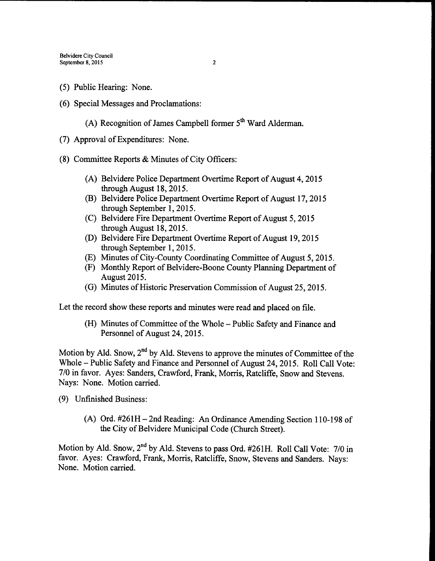- 5) Public Hearing: None.
- 6) Special Messages and Proclamations:
	- (A) Recognition of James Campbell former  $5<sup>th</sup>$  Ward Alderman.
- 7) Approval of Expenditures: None.
- 8) Committee Reports& Minutes of City Officers:
	- A) Belvidere Police Department Overtime Report of August 4, 2015 through August 18, 2015.
	- B) Belvidere Police Department Overtime Report of August 17, 2015 through September 1, 2015.
	- (C) Belvidere Fire Department Overtime Report of August 5, 2015 through August 18, 2015.
	- (D) Belvidere Fire Department Overtime Report of August 19, 2015 through September 1, 2015.
	- (E) Minutes of City-County Coordinating Committee of August 5, 2015.
	- (F) Monthly Report of Belvidere-Boone County Planning Department of August 2015.
	- (G) Minutes of Historic Preservation Commission of August 25, 2015.

Let the record show these reports and minutes were read and placed on file.

(H) Minutes of Committee of the Whole – Public Safety and Finance and Personnel of August 24, 2015.

Motion by Ald. Snow, 2<sup>nd</sup> by Ald. Stevens to approve the minutes of Committee of the Whole – Public Safety and Finance and Personnel of August 24, 2015. Roll Call Vote: 7/0 in favor. Ayes: Sanders, Crawford, Frank, Morris, Ratcliffe, Snow and Stevens. Nays: None. Motion carried.

- 9) Unfinished Business:
	- (A) Ord.  $#261H 2nd$  Reading: An Ordinance Amending Section 110-198 of the City of Belvidere Municipal Code (Church Street).

Motion by Ald. Snow, 2<sup>nd</sup> by Ald. Stevens to pass Ord. #261H. Roll Call Vote: 7/0 in favor. Ayes: Crawford, Frank, Morris, Ratcliffe, Snow, Stevens and Sanders. Nays: None. Motion carried.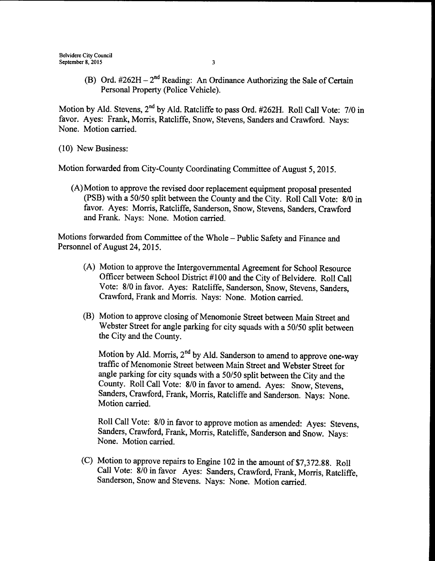B) Ord.  $\#262H - 2^{nd}$  Reading: An Ordinance Authorizing the Sale of Certain Personal Property (Police Vehicle).

Motion by Ald. Stevens, 2<sup>nd</sup> by Ald. Ratcliffe to pass Ord. #262H. Roll Call Vote: 7/0 in favor. Ayes: Frank, Morris, Ratcliffe, Snow, Stevens, Sanders and Crawford. Nays: None. Motion carried.

10) New Business:

Motion forwarded from City-County Coordinating Committee of August 5, 2015.

A) Motion to approve the revised door replacement equipment proposal presented (PSB) with a 50/50 split between the County and the City. Roll Call Vote: 8/0 in favor. Ayes: Morris, Ratcliffe, Sanderson, Snow, Stevens, Sanders, Crawford and Frank. Nays: None. Motion carried.

Motions forwarded from Committee of the Whole—Public Safety and Finance and Personnel of August 24, 2015.

- A) Motion to approve the Intergovernmental Agreement for School Resource Officer between School District #100 and the City of Belvidere. Roll Call Vote: 8/0 in favor. Ayes: Ratcliffe, Sanderson, Snow, Stevens, Sanders, Crawford, Frank and Morris. Nays: None. Motion carried.
- B) Motion to approve closing of Menomonie Street between Main Street and Webster Street for angle parking for city squads with a 50/50 split between the City and the County.

Motion by Ald. Morris,  $2^{nd}$  by Ald. Sanderson to amend to approve one-way traffic of Menomonie Street between Main Street and Webster Street for angle parking for city squads with a 50/50 split between the City and the County. Roll Call Vote: 8/0 in favor to amend. Ayes: Snow, Stevens, Sanders, Crawford, Frank, Morris, Ratcliffe and Sanderson. Nays: None. Motion carried.

Roll Call Vote: 8/0 in favor to approve motion as amended: Ayes: Stevens, Sanders, Crawford, Frank, Morris, Ratcliffe, Sanderson and Snow. Nays: None. Motion carried.

C) Motion to approve repairs to Engine <sup>102</sup> in the amount of\$7,372.88. Roll Call Vote: 8/0 in favor Ayes: Sanders, Crawford, Frank, Morris, Ratcliffe, Sanderson, Snow and Stevens. Nays: None. Motion carried.